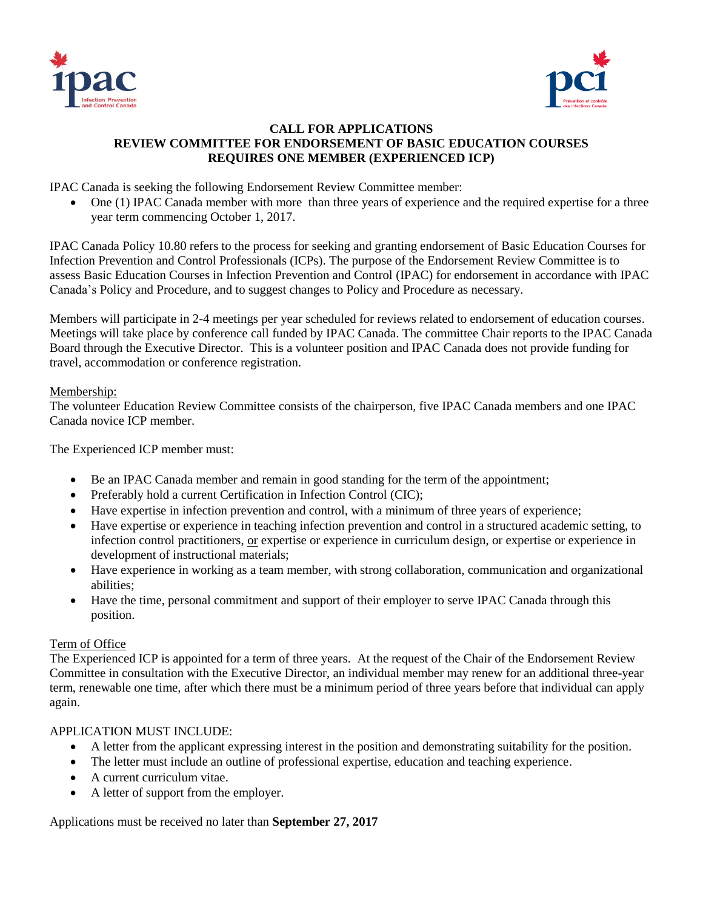



## **CALL FOR APPLICATIONS REVIEW COMMITTEE FOR ENDORSEMENT OF BASIC EDUCATION COURSES REQUIRES ONE MEMBER (EXPERIENCED ICP)**

IPAC Canada is seeking the following Endorsement Review Committee member:

 One (1) IPAC Canada member with more than three years of experience and the required expertise for a three year term commencing October 1, 2017.

IPAC Canada Policy 10.80 refers to the process for seeking and granting endorsement of Basic Education Courses for Infection Prevention and Control Professionals (ICPs). The purpose of the Endorsement Review Committee is to assess Basic Education Courses in Infection Prevention and Control (IPAC) for endorsement in accordance with IPAC Canada's Policy and Procedure, and to suggest changes to Policy and Procedure as necessary.

Members will participate in 2-4 meetings per year scheduled for reviews related to endorsement of education courses. Meetings will take place by conference call funded by IPAC Canada. The committee Chair reports to the IPAC Canada Board through the Executive Director. This is a volunteer position and IPAC Canada does not provide funding for travel, accommodation or conference registration.

## Membership:

The volunteer Education Review Committee consists of the chairperson, five IPAC Canada members and one IPAC Canada novice ICP member.

The Experienced ICP member must:

- Be an IPAC Canada member and remain in good standing for the term of the appointment;
- Preferably hold a current Certification in Infection Control (CIC);
- Have expertise in infection prevention and control, with a minimum of three years of experience;
- Have expertise or experience in teaching infection prevention and control in a structured academic setting, to infection control practitioners, or expertise or experience in curriculum design, or expertise or experience in development of instructional materials;
- Have experience in working as a team member, with strong collaboration, communication and organizational abilities;
- Have the time, personal commitment and support of their employer to serve IPAC Canada through this position.

## Term of Office

The Experienced ICP is appointed for a term of three years. At the request of the Chair of the Endorsement Review Committee in consultation with the Executive Director, an individual member may renew for an additional three-year term, renewable one time, after which there must be a minimum period of three years before that individual can apply again.

## APPLICATION MUST INCLUDE:

- A letter from the applicant expressing interest in the position and demonstrating suitability for the position.
- The letter must include an outline of professional expertise, education and teaching experience.
- A current curriculum vitae.
- A letter of support from the employer.

Applications must be received no later than **September 27, 2017**